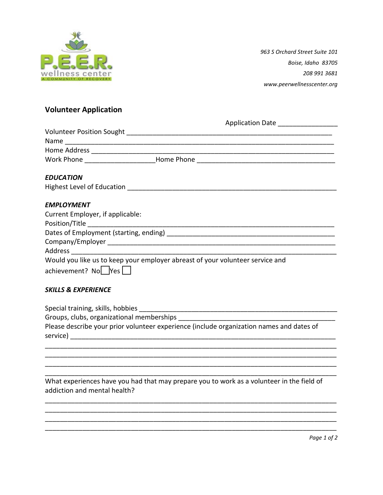

*963 S Orchard Street Suite 101 Boise, Idaho 83705 208 991 3681 www.peerwellnesscenter.org*

## **Volunteer Application**

|                                                                                  | Application Date __________________ |
|----------------------------------------------------------------------------------|-------------------------------------|
|                                                                                  |                                     |
|                                                                                  |                                     |
|                                                                                  |                                     |
| Work Phone _______________________Home Phone ___________________________________ |                                     |
| <b>EDUCATION</b>                                                                 |                                     |
|                                                                                  |                                     |
| <b>EMPLOYMENT</b>                                                                |                                     |
| Current Employer, if applicable:                                                 |                                     |
|                                                                                  |                                     |
|                                                                                  |                                     |
|                                                                                  |                                     |
|                                                                                  |                                     |
| Would you like us to keep your employer abreast of your volunteer service and    |                                     |
| $achievement? No$ Yes $\Box$                                                     |                                     |
|                                                                                  |                                     |

## *SKILLS & EXPERIENCE*

Special training, skills, hobbies \_\_\_\_\_\_\_\_\_\_\_\_\_\_\_\_\_\_\_\_\_\_\_\_\_\_\_\_\_\_\_\_\_\_\_\_\_\_\_\_\_\_\_\_\_\_\_\_\_\_\_\_\_ Groups, clubs, organizational memberships \_\_\_\_\_\_\_\_\_\_\_\_\_\_\_\_\_\_\_\_\_\_\_\_\_\_\_\_\_\_\_\_\_\_\_\_\_\_\_\_\_\_ Please describe your prior volunteer experience (include organization names and dates of service) and the service of the service of the service of the service of the series of the series of the series of the series of the series of the series of the series of the series of the series of the series of the serie \_\_\_\_\_\_\_\_\_\_\_\_\_\_\_\_\_\_\_\_\_\_\_\_\_\_\_\_\_\_\_\_\_\_\_\_\_\_\_\_\_\_\_\_\_\_\_\_\_\_\_\_\_\_\_\_\_\_\_\_\_\_\_\_\_\_\_\_\_\_\_\_\_\_\_\_\_\_

\_\_\_\_\_\_\_\_\_\_\_\_\_\_\_\_\_\_\_\_\_\_\_\_\_\_\_\_\_\_\_\_\_\_\_\_\_\_\_\_\_\_\_\_\_\_\_\_\_\_\_\_\_\_\_\_\_\_\_\_\_\_\_\_\_\_\_\_\_\_\_\_\_\_\_\_\_\_ \_\_\_\_\_\_\_\_\_\_\_\_\_\_\_\_\_\_\_\_\_\_\_\_\_\_\_\_\_\_\_\_\_\_\_\_\_\_\_\_\_\_\_\_\_\_\_\_\_\_\_\_\_\_\_\_\_\_\_\_\_\_\_\_\_\_\_\_\_\_\_\_\_\_\_\_\_\_ \_\_\_\_\_\_\_\_\_\_\_\_\_\_\_\_\_\_\_\_\_\_\_\_\_\_\_\_\_\_\_\_\_\_\_\_\_\_\_\_\_\_\_\_\_\_\_\_\_\_\_\_\_\_\_\_\_\_\_\_\_\_\_\_\_\_\_\_\_\_\_\_\_\_\_\_\_\_

\_\_\_\_\_\_\_\_\_\_\_\_\_\_\_\_\_\_\_\_\_\_\_\_\_\_\_\_\_\_\_\_\_\_\_\_\_\_\_\_\_\_\_\_\_\_\_\_\_\_\_\_\_\_\_\_\_\_\_\_\_\_\_\_\_\_\_\_\_\_\_\_\_\_\_\_\_\_ \_\_\_\_\_\_\_\_\_\_\_\_\_\_\_\_\_\_\_\_\_\_\_\_\_\_\_\_\_\_\_\_\_\_\_\_\_\_\_\_\_\_\_\_\_\_\_\_\_\_\_\_\_\_\_\_\_\_\_\_\_\_\_\_\_\_\_\_\_\_\_\_\_\_\_\_\_\_ \_\_\_\_\_\_\_\_\_\_\_\_\_\_\_\_\_\_\_\_\_\_\_\_\_\_\_\_\_\_\_\_\_\_\_\_\_\_\_\_\_\_\_\_\_\_\_\_\_\_\_\_\_\_\_\_\_\_\_\_\_\_\_\_\_\_\_\_\_\_\_\_\_\_\_\_\_\_

What experiences have you had that may prepare you to work as a volunteer in the field of addiction and mental health?